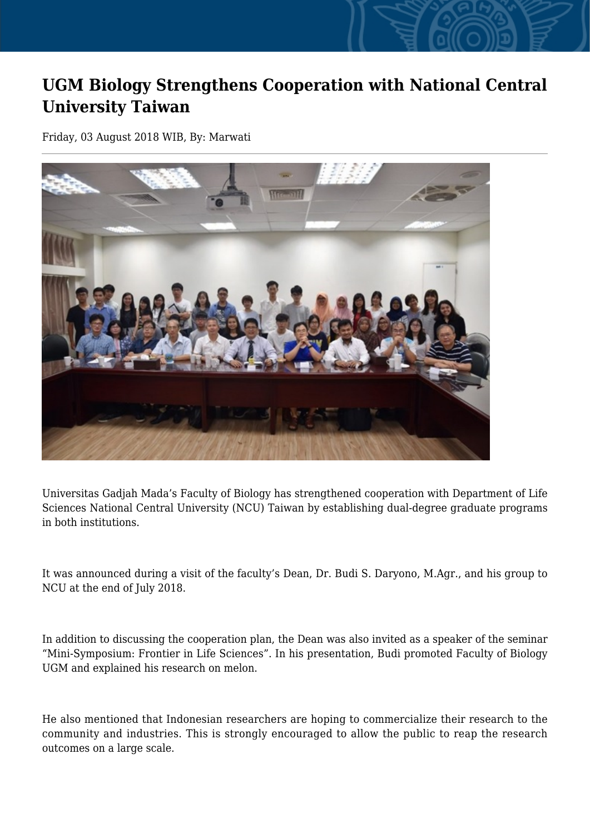## **UGM Biology Strengthens Cooperation with National Central University Taiwan**

Friday, 03 August 2018 WIB, By: Marwati



Universitas Gadjah Mada's Faculty of Biology has strengthened cooperation with Department of Life Sciences National Central University (NCU) Taiwan by establishing dual-degree graduate programs in both institutions.

It was announced during a visit of the faculty's Dean, Dr. Budi S. Daryono, M.Agr., and his group to NCU at the end of July 2018.

In addition to discussing the cooperation plan, the Dean was also invited as a speaker of the seminar "Mini-Symposium: Frontier in Life Sciences". In his presentation, Budi promoted Faculty of Biology UGM and explained his research on melon.

He also mentioned that Indonesian researchers are hoping to commercialize their research to the community and industries. This is strongly encouraged to allow the public to reap the research outcomes on a large scale.